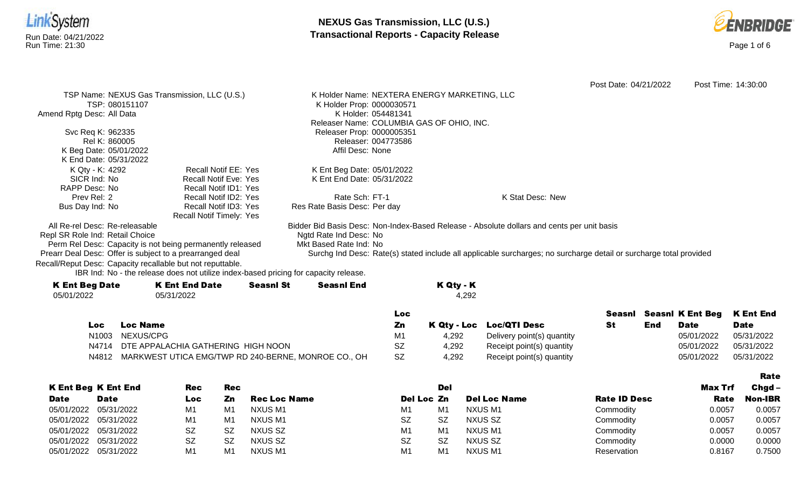



|                                                            |                                                                                      |                                           |                                                                                                                    | Post Date: 04/21/2022 | Post Time: 14:30:00 |
|------------------------------------------------------------|--------------------------------------------------------------------------------------|-------------------------------------------|--------------------------------------------------------------------------------------------------------------------|-----------------------|---------------------|
|                                                            | TSP Name: NEXUS Gas Transmission, LLC (U.S.)                                         |                                           | K Holder Name: NEXTERA ENERGY MARKETING, LLC                                                                       |                       |                     |
| TSP: 080151107                                             |                                                                                      | K Holder Prop: 0000030571                 |                                                                                                                    |                       |                     |
| Amend Rptg Desc: All Data                                  |                                                                                      | K Holder: 054481341                       |                                                                                                                    |                       |                     |
|                                                            |                                                                                      | Releaser Name: COLUMBIA GAS OF OHIO, INC. |                                                                                                                    |                       |                     |
| Svc Req K: 962335                                          |                                                                                      | Releaser Prop: 0000005351                 |                                                                                                                    |                       |                     |
| Rel K: 860005                                              |                                                                                      | Releaser: 004773586                       |                                                                                                                    |                       |                     |
| K Beg Date: 05/01/2022                                     |                                                                                      | Affil Desc: None                          |                                                                                                                    |                       |                     |
| K End Date: 05/31/2022                                     |                                                                                      |                                           |                                                                                                                    |                       |                     |
| K Qty - K: 4292                                            | Recall Notif EE: Yes                                                                 | K Ent Beg Date: 05/01/2022                |                                                                                                                    |                       |                     |
| SICR Ind: No                                               | <b>Recall Notif Eve: Yes</b>                                                         | K Ent End Date: 05/31/2022                |                                                                                                                    |                       |                     |
| RAPP Desc: No                                              | Recall Notif ID1: Yes                                                                |                                           |                                                                                                                    |                       |                     |
| Prev Rel: 2                                                | Recall Notif ID2: Yes                                                                | Rate Sch: FT-1                            | K Stat Desc: New                                                                                                   |                       |                     |
| Bus Day Ind: No                                            | Recall Notif ID3: Yes                                                                | Res Rate Basis Desc: Per day              |                                                                                                                    |                       |                     |
|                                                            | <b>Recall Notif Timely: Yes</b>                                                      |                                           |                                                                                                                    |                       |                     |
| All Re-rel Desc: Re-releasable                             |                                                                                      |                                           | Bidder Bid Basis Desc: Non-Index-Based Release - Absolute dollars and cents per unit basis                         |                       |                     |
| Repl SR Role Ind: Retail Choice                            |                                                                                      | Ngtd Rate Ind Desc: No                    |                                                                                                                    |                       |                     |
|                                                            | Perm Rel Desc: Capacity is not being permanently released                            | Mkt Based Rate Ind: No                    |                                                                                                                    |                       |                     |
| Prearr Deal Desc: Offer is subject to a prearranged deal   |                                                                                      |                                           | Surchg Ind Desc: Rate(s) stated include all applicable surcharges; no surcharge detail or surcharge total provided |                       |                     |
| Recall/Reput Desc: Capacity recallable but not reputtable. |                                                                                      |                                           |                                                                                                                    |                       |                     |
|                                                            | IBR Ind: No - the release does not utilize index-based pricing for capacity release. |                                           |                                                                                                                    |                       |                     |
| K Ent Ron Dato                                             | K Ent End Bato<br><b>Concril Ct</b>                                                  | <b>Copeni End</b>                         | K 04. K                                                                                                            |                       |                     |

| <b>K Ent Beg Date</b> | <b>K Ent End Date</b> | <b>Seasnl St</b> | <b>Seasnl End</b> | K Qty - K |
|-----------------------|-----------------------|------------------|-------------------|-----------|
| 05/01/2022            | 05/31/2022            |                  |                   | 4.292     |
|                       |                       |                  |                   |           |

|       |                                                     | Loc. |       |                            |     | Seasni Seasni K Ent Beg K Ent End |             |
|-------|-----------------------------------------------------|------|-------|----------------------------|-----|-----------------------------------|-------------|
| Loc   | <b>Loc Name</b>                                     | Ζn   |       | K Qty - Loc Loc/QTI Desc   | End | Date                              | <b>Date</b> |
|       | N1003 NEXUS/CPG                                     |      | 4.292 | Delivery point(s) quantity |     | 05/01/2022                        | 05/31/2022  |
|       | N4714 DTE APPALACHIA GATHERING HIGH NOON            | SZ   | 4.292 | Receipt point(s) quantity  |     | 05/01/2022                        | 05/31/2022  |
| N4812 | MARKWEST UTICA EMG/TWP RD 240-BERNE, MONROE CO., OH | SZ   | 4.292 | Receipt point(s) quantity  |     | 05/01/2022                        | 05/31/2022  |

|             |                            |           |           |                     |                |                |                     |                     |         | Rate           |
|-------------|----------------------------|-----------|-----------|---------------------|----------------|----------------|---------------------|---------------------|---------|----------------|
|             | <b>K Ent Beg K Ent End</b> | Rec       | Rec       |                     |                | Del            |                     |                     | Max Trf | $Chqd -$       |
| <b>Date</b> | <b>Date</b>                | Loc       | Zn        | <b>Rec Loc Name</b> | Del Loc Zn     |                | <b>Del Loc Name</b> | <b>Rate ID Desc</b> | Rate    | <b>Non-IBR</b> |
| 05/01/2022  | 05/31/2022                 | M1        | M1        | NXUS M1             | M1             | M <sub>1</sub> | NXUS M1             | Commodity           | 0.0057  | 0.0057         |
| 05/01/2022  | 05/31/2022                 | M1        | M1        | NXUS M1             | <b>SZ</b>      | <b>SZ</b>      | NXUS SZ             | Commodity           | 0.0057  | 0.0057         |
|             | 05/01/2022 05/31/2022      | <b>SZ</b> | <b>SZ</b> | NXUS SZ             | M <sub>1</sub> | M <sub>1</sub> | NXUS M1             | Commodity           | 0.0057  | 0.0057         |
| 05/01/2022  | 05/31/2022                 | <b>SZ</b> | <b>SZ</b> | NXUS SZ             | <b>SZ</b>      | <b>SZ</b>      | NXUS SZ             | Commodity           | 0.0000  | 0.0000         |
| 05/01/2022  | 05/31/2022                 | M1        | M1        | NXUS M1             | M1             | M <sub>1</sub> | NXUS M1             | Reservation         | 0.8167  | 0.7500         |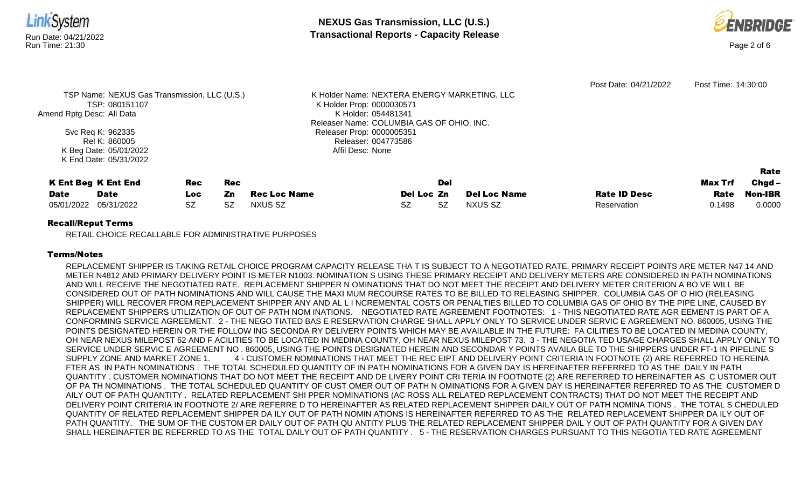

#### Recall/Reput Terms

RETAIL CHOICE RECALLABLE FOR ADMINISTRATIVE PURPOSES

## Terms/Notes

REPLACEMENT SHIPPER IS TAKING RETAIL CHOICE PROGRAM CAPACITY RELEASE THA T IS SUBJECT TO A NEGOTIATED RATE. PRIMARY RECEIPT POINTS ARE METER N47 14 AND METER N4812 AND PRIMARY DELIVERY POINT IS METER N1003. NOMINATION S USING THESE PRIMARY RECEIPT AND DELIVERY METERS ARE CONSIDERED IN PATH NOMINATIONS AND WILL RECEIVE THE NEGOTIATED RATE. REPLACEMENT SHIPPER N OMINATIONS THAT DO NOT MEET THE RECEIPT AND DELIVERY METER CRITERION A BO VE WILL BE CONSIDERED OUT OF PATH NOMINATIONS AND WILL CAUSE THE MAXI MUM RECOURSE RATES TO BE BILLED TO RELEASING SHIPPER. COLUMBIA GAS OF O HIO (RELEASING SHIPPER) WILL RECOVER FROM REPLACEMENT SHIPPER ANY AND AL L I NCREMENTAL COSTS OR PENALTIES BILLED TO COLUMBIA GAS OF OHIO BY THE PIPE LINE, CAUSED BY REPLACEMENT SHIPPERS UTILIZATION OF OUT OF PATH NOM INATIONS. NEGOTIATED RATE AGREEMENT FOOTNOTES: 1 - THIS NEGOTIATED RATE AGR EEMENT IS PART OF A CONFORMING SERVICE AGREEMENT. 2 - THE NEGO TIATED BAS E RESERVATION CHARGE SHALL APPLY ONLY TO SERVICE UNDER SERVIC E AGREEMENT NO. 860005, USING THE POINTS DESIGNATED HEREIN OR THE FOLLOW ING SECONDA RY DELIVERY POINTS WHICH MAY BE AVAILABLE IN THE FUTURE: FA CILITIES TO BE LOCATED IN MEDINA COUNTY, OH NEAR NEXUS MILEPOST 62 AND F ACILITIES TO BE LOCATED IN MEDINA COUNTY, OH NEAR NEXUS MILEPOST 73. 3 - THE NEGOTIA TED USAGE CHARGES SHALL APPLY ONLY TO SERVICE UNDER SERVIC E AGREEMENT NO . 860005, USING THE POINTS DESIGNATED HEREIN AND SECONDAR Y POINTS AVAILA BLE TO THE SHIPPERS UNDER FT-1 IN PIPELINE S SUPPLY ZONE AND MARKET ZONE 1. 4 - CUSTOMER NOMINATIONS THAT MEET THE REC EIPT AND DELIVERY POINT CRITERIA IN FOOTNOTE (2) ARE REFERRED TO HEREINA FTER AS IN PATH NOMINATIONS . THE TOTAL SCHEDULED QUANTITY OF IN PATH NOMINATIONS FOR A GIVEN DAY IS HEREINAFTER REFERRED TO AS THE DAILY IN PATH QUANTITY . CUSTOMER NOMINATIONS THAT DO NOT MEET THE RECEIPT AND DE LIVERY POINT CRI TERIA IN FOOTNOTE (2) ARE REFERRED TO HEREINAFTER AS C USTOMER OUT OF PA TH NOMINATIONS . THE TOTAL SCHEDULED QUANTITY OF CUST OMER OUT OF PATH N OMINATIONS FOR A GIVEN DAY IS HEREINAFTER REFERRED TO AS THE CUSTOMER D AILY OUT OF PATH QUANTITY . RELATED REPLACEMENT SHI PPER NOMINATIONS (AC ROSS ALL RELATED REPLACEMENT CONTRACTS) THAT DO NOT MEET THE RECEIPT AND DELIVERY POINT CRITERIA IN FOOTNOTE 2/ ARE REFERRE D TO HEREINAFTER AS RELATED REPLACEMENT SHIPPER DAILY OUT OF PATH NOMINA TIONS . THE TOTAL S CHEDULED QUANTITY OF RELATED REPLACEMENT SHIPPER DA ILY OUT OF PATH NOMIN ATIONS IS HEREINAFTER REFERRED TO AS THE RELATED REPLACEMENT SHIPPER DA ILY OUT OF PATH QUANTITY. THE SUM OF THE CUSTOM ER DAILY OUT OF PATH QU ANTITY PLUS THE RELATED REPLACEMENT SHIPPER DAIL Y OUT OF PATH QUANTITY FOR A GIVEN DAY SHALL HEREINAFTER BE REFERRED TO AS THE TOTAL DAILY OUT OF PATH QUANTITY . 5 - THE RESERVATION CHARGES PURSUANT TO THIS NEGOTIA TED RATE AGREEMENT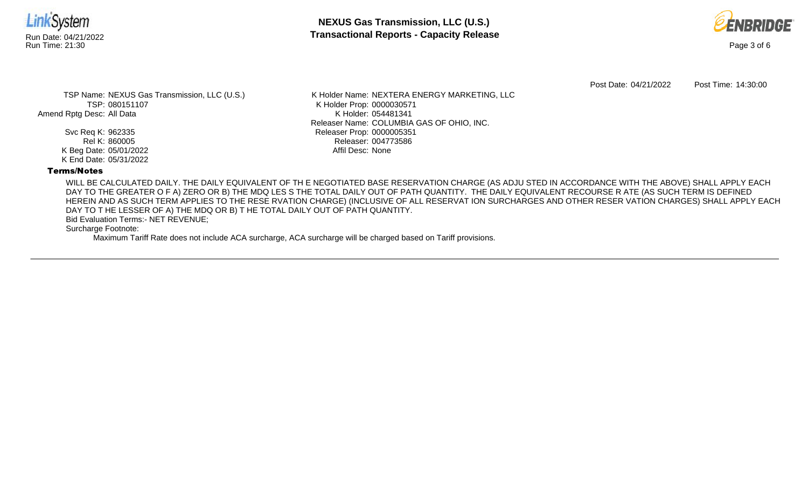

**NEXUS Gas Transmission, LLC (U.S.)** Run Date: 04/21/2022 **Transactional Reports - Capacity Release**



Post Date: 04/21/2022 Post Time: 14:30:00

TSP Name: NEXUS Gas Transmission, LLC (U.S.) TSP: 080151107 Amend Rptg Desc: All Data

> Svc Req K: 962335 Rel K: 860005 K Beg Date: 05/01/2022 K End Date: 05/31/2022

K Holder Name: NEXTERA ENERGY MARKETING, LLC K Holder Prop: 0000030571 K Holder: 054481341 Releaser Name: COLUMBIA GAS OF OHIO, INC. Releaser Prop: 0000005351 Releaser: 004773586 Affil Desc: None

# Terms/Notes

WILL BE CALCULATED DAILY. THE DAILY EQUIVALENT OF TH E NEGOTIATED BASE RESERVATION CHARGE (AS ADJU STED IN ACCORDANCE WITH THE ABOVE) SHALL APPLY EACH DAY TO THE GREATER O F A) ZERO OR B) THE MDQ LES S THE TOTAL DAILY OUT OF PATH QUANTITY. THE DAILY EQUIVALENT RECOURSE R ATE (AS SUCH TERM IS DEFINED HEREIN AND AS SUCH TERM APPLIES TO THE RESE RVATION CHARGE) (INCLUSIVE OF ALL RESERVAT ION SURCHARGES AND OTHER RESER VATION CHARGES) SHALL APPLY EACH DAY TO T HE LESSER OF A) THE MDQ OR B) T HE TOTAL DAILY OUT OF PATH QUANTITY.

Bid Evaluation Terms:- NET REVENUE;

Surcharge Footnote:

Maximum Tariff Rate does not include ACA surcharge, ACA surcharge will be charged based on Tariff provisions.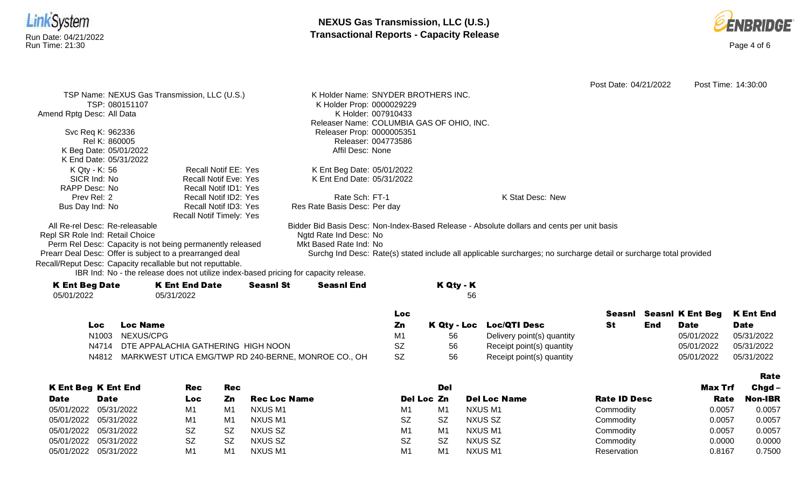



|                                 |                 |                                                                                      |                  |                                     |                     |                                           |                                                                                                                    | Post Date: 04/21/2022 |     |                                | Post Time: 14:30:00 |
|---------------------------------|-----------------|--------------------------------------------------------------------------------------|------------------|-------------------------------------|---------------------|-------------------------------------------|--------------------------------------------------------------------------------------------------------------------|-----------------------|-----|--------------------------------|---------------------|
|                                 |                 | TSP Name: NEXUS Gas Transmission, LLC (U.S.)                                         |                  | K Holder Name: SNYDER BROTHERS INC. |                     |                                           |                                                                                                                    |                       |     |                                |                     |
|                                 | TSP: 080151107  |                                                                                      |                  | K Holder Prop: 0000029229           |                     |                                           |                                                                                                                    |                       |     |                                |                     |
| Amend Rptg Desc: All Data       |                 |                                                                                      |                  |                                     | K Holder: 007910433 |                                           |                                                                                                                    |                       |     |                                |                     |
|                                 |                 |                                                                                      |                  |                                     |                     | Releaser Name: COLUMBIA GAS OF OHIO, INC. |                                                                                                                    |                       |     |                                |                     |
| Svc Req K: 962336               |                 |                                                                                      |                  | Releaser Prop: 0000005351           |                     |                                           |                                                                                                                    |                       |     |                                |                     |
| Rel K: 860005                   |                 |                                                                                      |                  |                                     | Releaser: 004773586 |                                           |                                                                                                                    |                       |     |                                |                     |
| K Beg Date: 05/01/2022          |                 |                                                                                      |                  | Affil Desc: None                    |                     |                                           |                                                                                                                    |                       |     |                                |                     |
| K End Date: 05/31/2022          |                 |                                                                                      |                  |                                     |                     |                                           |                                                                                                                    |                       |     |                                |                     |
| K Qty - K: 56                   |                 | <b>Recall Notif EE: Yes</b>                                                          |                  | K Ent Beg Date: 05/01/2022          |                     |                                           |                                                                                                                    |                       |     |                                |                     |
| SICR Ind: No                    |                 | <b>Recall Notif Eve: Yes</b>                                                         |                  | K Ent End Date: 05/31/2022          |                     |                                           |                                                                                                                    |                       |     |                                |                     |
| RAPP Desc: No<br>Prev Rel: 2    |                 | <b>Recall Notif ID1: Yes</b><br>Recall Notif ID2: Yes                                |                  | Rate Sch: FT-1                      |                     |                                           | K Stat Desc: New                                                                                                   |                       |     |                                |                     |
|                                 |                 | Recall Notif ID3: Yes                                                                |                  | Res Rate Basis Desc: Per day        |                     |                                           |                                                                                                                    |                       |     |                                |                     |
| Bus Day Ind: No                 |                 | Recall Notif Timely: Yes                                                             |                  |                                     |                     |                                           |                                                                                                                    |                       |     |                                |                     |
| All Re-rel Desc: Re-releasable  |                 |                                                                                      |                  |                                     |                     |                                           | Bidder Bid Basis Desc: Non-Index-Based Release - Absolute dollars and cents per unit basis                         |                       |     |                                |                     |
| Repl SR Role Ind: Retail Choice |                 |                                                                                      |                  | Ngtd Rate Ind Desc: No              |                     |                                           |                                                                                                                    |                       |     |                                |                     |
|                                 |                 | Perm Rel Desc: Capacity is not being permanently released                            |                  | Mkt Based Rate Ind: No              |                     |                                           |                                                                                                                    |                       |     |                                |                     |
|                                 |                 | Prearr Deal Desc: Offer is subject to a prearranged deal                             |                  |                                     |                     |                                           | Surchg Ind Desc: Rate(s) stated include all applicable surcharges; no surcharge detail or surcharge total provided |                       |     |                                |                     |
|                                 |                 | Recall/Reput Desc: Capacity recallable but not reputtable.                           |                  |                                     |                     |                                           |                                                                                                                    |                       |     |                                |                     |
|                                 |                 | IBR Ind: No - the release does not utilize index-based pricing for capacity release. |                  |                                     |                     |                                           |                                                                                                                    |                       |     |                                |                     |
| <b>K Ent Beg Date</b>           |                 | <b>K Ent End Date</b>                                                                | <b>Seasnl St</b> | <b>Seasnl End</b>                   |                     | K Qty - K                                 |                                                                                                                    |                       |     |                                |                     |
| 05/01/2022                      |                 | 05/31/2022                                                                           |                  |                                     |                     | 56                                        |                                                                                                                    |                       |     |                                |                     |
|                                 |                 |                                                                                      |                  |                                     |                     |                                           |                                                                                                                    |                       |     |                                |                     |
|                                 |                 |                                                                                      |                  |                                     | Loc                 |                                           |                                                                                                                    |                       |     | <b>Seasni</b> Seasni K Ent Beg | <b>K Ent End</b>    |
| <b>Loc</b>                      | <b>Loc Name</b> |                                                                                      |                  |                                     | Zn                  | K Qty - Loc                               | <b>Loc/QTI Desc</b>                                                                                                | <b>St</b>             | End | <b>Date</b>                    | <b>Date</b>         |
| N1003                           | NEXUS/CPG       |                                                                                      |                  |                                     | M1                  | 56                                        | Delivery point(s) quantity                                                                                         |                       |     | 05/01/2022                     | 05/31/2022          |
| N4714                           |                 | DTE APPALACHIA GATHERING HIGH NOON                                                   |                  |                                     | <b>SZ</b>           | 56                                        | Receipt point(s) quantity                                                                                          |                       |     | 05/01/2022                     | 05/31/2022          |
| N4812                           |                 | MARKWEST UTICA EMG/TWP RD 240-BERNE, MONROE CO., OH                                  |                  |                                     | <b>SZ</b>           | 56                                        | Receipt point(s) quantity                                                                                          |                       |     | 05/01/2022                     | 05/31/2022          |
|                                 |                 |                                                                                      |                  |                                     |                     |                                           |                                                                                                                    |                       |     |                                |                     |
|                                 |                 |                                                                                      |                  |                                     |                     |                                           |                                                                                                                    |                       |     |                                |                     |

|             |                            |            |     |                     |                |                |                     |                     |         | Rate     |
|-------------|----------------------------|------------|-----|---------------------|----------------|----------------|---------------------|---------------------|---------|----------|
|             | <b>K Ent Beg K Ent End</b> | <b>Rec</b> | Rec |                     |                | Del            |                     |                     | Max Trf | $Chgd -$ |
| <b>Date</b> | <b>Date</b>                | Loc        | Zn  | <b>Rec Loc Name</b> | Del Loc Zn     |                | <b>Del Loc Name</b> | <b>Rate ID Desc</b> | Rate    | Non-IBR  |
| 05/01/2022  | 05/31/2022                 | M1         | M1  | NXUS M1             | M <sub>1</sub> | M <sub>1</sub> | NXUS M1             | Commodity           | 0.0057  | 0.0057   |
|             | 05/01/2022 05/31/2022      | M1         | M1  | NXUS M1             | <b>SZ</b>      | <b>SZ</b>      | NXUS SZ             | Commodity           | 0.0057  | 0.0057   |
|             | 05/01/2022 05/31/2022      | <b>SZ</b>  | SZ  | NXUS SZ             | M <sub>1</sub> | M <sub>1</sub> | NXUS M1             | Commodity           | 0.0057  | 0.0057   |
|             | 05/01/2022 05/31/2022      | <b>SZ</b>  | SZ  | NXUS SZ             | <b>SZ</b>      | <b>SZ</b>      | NXUS SZ             | Commodity           | 0.0000  | 0.0000   |
|             | 05/01/2022 05/31/2022      | M1         | M1  | NXUS M1             | M <sub>1</sub> | M1             | <b>NXUS M1</b>      | Reservation         | 0.8167  | 0.7500   |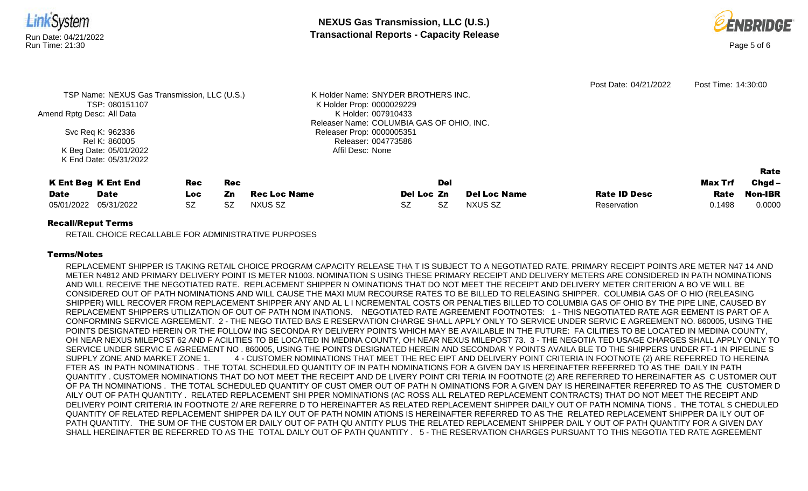

|                       |                            |     |     |              |            |     |                     |                     |         | Rate     |
|-----------------------|----------------------------|-----|-----|--------------|------------|-----|---------------------|---------------------|---------|----------|
|                       | <b>K Ent Beg K Ent End</b> | Rec | Rec |              |            | Del |                     |                     | Max Trf | $Chgd -$ |
| <b>Date</b>           | Date                       | Loc | Zn  | Rec Loc Name | Del Loc Zn |     | <b>Del Loc Name</b> | <b>Rate ID Desc</b> | Rate    | Non-IBR  |
| 05/01/2022 05/31/2022 |                            | SZ  | SZ  | NXUS SZ      | SZ         | SZ  | <b>NXUS SZ</b>      | Reservation         | 0.1498  | 0.0000   |

Affil Desc: None

## Recall/Reput Terms

K Beg Date: 05/01/2022 K End Date: 05/31/2022

RETAIL CHOICE RECALLABLE FOR ADMINISTRATIVE PURPOSES

## Terms/Notes

REPLACEMENT SHIPPER IS TAKING RETAIL CHOICE PROGRAM CAPACITY RELEASE THA T IS SUBJECT TO A NEGOTIATED RATE. PRIMARY RECEIPT POINTS ARE METER N47 14 AND METER N4812 AND PRIMARY DELIVERY POINT IS METER N1003. NOMINATION S USING THESE PRIMARY RECEIPT AND DELIVERY METERS ARE CONSIDERED IN PATH NOMINATIONS AND WILL RECEIVE THE NEGOTIATED RATE. REPLACEMENT SHIPPER N OMINATIONS THAT DO NOT MEET THE RECEIPT AND DELIVERY METER CRITERION A BO VE WILL BE CONSIDERED OUT OF PATH NOMINATIONS AND WILL CAUSE THE MAXI MUM RECOURSE RATES TO BE BILLED TO RELEASING SHIPPER. COLUMBIA GAS OF O HIO (RELEASING SHIPPER) WILL RECOVER FROM REPLACEMENT SHIPPER ANY AND AL L I NCREMENTAL COSTS OR PENALTIES BILLED TO COLUMBIA GAS OF OHIO BY THE PIPE LINE, CAUSED BY REPLACEMENT SHIPPERS UTILIZATION OF OUT OF PATH NOM INATIONS. NEGOTIATED RATE AGREEMENT FOOTNOTES: 1 - THIS NEGOTIATED RATE AGR EEMENT IS PART OF A CONFORMING SERVICE AGREEMENT. 2 - THE NEGO TIATED BAS E RESERVATION CHARGE SHALL APPLY ONLY TO SERVICE UNDER SERVIC E AGREEMENT NO. 860005, USING THE POINTS DESIGNATED HEREIN OR THE FOLLOW ING SECONDA RY DELIVERY POINTS WHICH MAY BE AVAILABLE IN THE FUTURE: FA CILITIES TO BE LOCATED IN MEDINA COUNTY, OH NEAR NEXUS MILEPOST 62 AND F ACILITIES TO BE LOCATED IN MEDINA COUNTY, OH NEAR NEXUS MILEPOST 73. 3 - THE NEGOTIA TED USAGE CHARGES SHALL APPLY ONLY TO SERVICE UNDER SERVIC E AGREEMENT NO . 860005, USING THE POINTS DESIGNATED HEREIN AND SECONDAR Y POINTS AVAILA BLE TO THE SHIPPERS UNDER FT-1 IN PIPELINE S SUPPLY ZONE AND MARKET ZONE 1. 4 - CUSTOMER NOMINATIONS THAT MEET THE REC EIPT AND DELIVERY POINT CRITERIA IN FOOTNOTE (2) ARE REFERRED TO HEREINA FTER AS IN PATH NOMINATIONS . THE TOTAL SCHEDULED QUANTITY OF IN PATH NOMINATIONS FOR A GIVEN DAY IS HEREINAFTER REFERRED TO AS THE DAILY IN PATH QUANTITY . CUSTOMER NOMINATIONS THAT DO NOT MEET THE RECEIPT AND DE LIVERY POINT CRI TERIA IN FOOTNOTE (2) ARE REFERRED TO HEREINAFTER AS C USTOMER OUT OF PA TH NOMINATIONS . THE TOTAL SCHEDULED QUANTITY OF CUST OMER OUT OF PATH N OMINATIONS FOR A GIVEN DAY IS HEREINAFTER REFERRED TO AS THE CUSTOMER D AILY OUT OF PATH QUANTITY . RELATED REPLACEMENT SHI PPER NOMINATIONS (AC ROSS ALL RELATED REPLACEMENT CONTRACTS) THAT DO NOT MEET THE RECEIPT AND DELIVERY POINT CRITERIA IN FOOTNOTE 2/ ARE REFERRE D TO HEREINAFTER AS RELATED REPLACEMENT SHIPPER DAILY OUT OF PATH NOMINA TIONS . THE TOTAL S CHEDULED QUANTITY OF RELATED REPLACEMENT SHIPPER DA ILY OUT OF PATH NOMIN ATIONS IS HEREINAFTER REFERRED TO AS THE RELATED REPLACEMENT SHIPPER DA ILY OUT OF PATH QUANTITY. THE SUM OF THE CUSTOM ER DAILY OUT OF PATH QU ANTITY PLUS THE RELATED REPLACEMENT SHIPPER DAIL Y OUT OF PATH QUANTITY FOR A GIVEN DAY SHALL HEREINAFTER BE REFERRED TO AS THE TOTAL DAILY OUT OF PATH QUANTITY . 5 - THE RESERVATION CHARGES PURSUANT TO THIS NEGOTIA TED RATE AGREEMENT